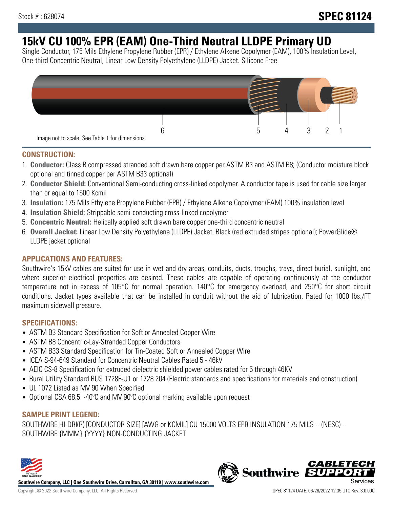# **15kV CU 100% EPR (EAM) One-Third Neutral LLDPE Primary UD**

Single Conductor, 175 Mils Ethylene Propylene Rubber (EPR) / Ethylene Alkene Copolymer (EAM), 100% Insulation Level, One-third Concentric Neutral, Linear Low Density Polyethylene (LLDPE) Jacket. Silicone Free



#### **CONSTRUCTION:**

- 1. **Conductor:** Class B compressed stranded soft drawn bare copper per ASTM B3 and ASTM B8; (Conductor moisture block optional and tinned copper per ASTM B33 optional)
- 2. **Conductor Shield:** Conventional Semi-conducting cross-linked copolymer. A conductor tape is used for cable size larger than or equal to 1500 Kcmil
- 3. **Insulation:** 175 Mils Ethylene Propylene Rubber (EPR) / Ethylene Alkene Copolymer (EAM) 100% insulation level
- 4. **Insulation Shield:** Strippable semi-conducting cross-linked copolymer
- 5. **Concentric Neutral:** Helically applied soft drawn bare copper one-third concentric neutral
- 6. **Overall Jacket:** Linear Low Density Polyethylene (LLDPE) Jacket, Black (red extruded stripes optional); PowerGlide® LLDPE jacket optional

## **APPLICATIONS AND FEATURES:**

Southwire's 15kV cables are suited for use in wet and dry areas, conduits, ducts, troughs, trays, direct burial, sunlight, and where superior electrical properties are desired. These cables are capable of operating continuously at the conductor temperature not in excess of 105°C for normal operation. 140°C for emergency overload, and 250°C for short circuit conditions. Jacket types available that can be installed in conduit without the aid of lubrication. Rated for 1000 lbs./FT maximum sidewall pressure.

## **SPECIFICATIONS:**

- ASTM B3 Standard Specification for Soft or Annealed Copper Wire
- ASTM B8 Concentric-Lay-Stranded Copper Conductors
- ASTM B33 Standard Specification for Tin-Coated Soft or Annealed Copper Wire
- ICEA S-94-649 Standard for Concentric Neutral Cables Rated 5 46kV
- AEIC CS-8 Specification for extruded dielectric shielded power cables rated for 5 through 46KV
- Rural Utility Standard RUS 1728F-U1 or 1728.204 (Electric standards and specifications for materials and construction)
- UL 1072 Listed as MV 90 When Specified
- Optional CSA 68.5: -40°C and MV 90°C optional marking available upon request

## **SAMPLE PRINT LEGEND:**

SOUTHWIRE HI-DRI(R) [CONDUCTOR SIZE] [AWG or KCMIL] CU 15000 VOLTS EPR INSULATION 175 MILS -- (NESC) -- SOUTHWIRE {MMM} {YYYY} NON-CONDUCTING JACKET



**Southwire Company, LLC | One Southwire Drive, Carrollton, GA 30119 | www.southwire.com**